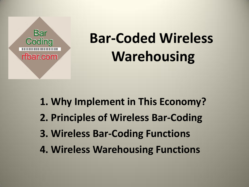

# **Bar-Coded Wireless Warehousing**

- **1. Why Implement in This Economy?**
- **2. Principles of Wireless Bar-Coding**
- **3. Wireless Bar-Coding Functions**
- **4. Wireless Warehousing Functions**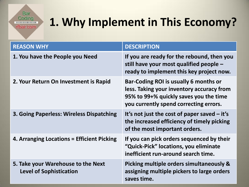**Bar** Coding **THEFT CONTRACTOR** rfbar.com

### **1. Why Implement in This Economy?**

| <b>REASON WHY</b>                                                    | <b>DESCRIPTION</b>                                                                                                                                                     |
|----------------------------------------------------------------------|------------------------------------------------------------------------------------------------------------------------------------------------------------------------|
| 1. You have the People you Need                                      | If you are ready for the rebound, then you<br>still have your most qualified people $-$<br>ready to implement this key project now.                                    |
| 2. Your Return On Investment is Rapid                                | Bar-Coding ROI is usually 6 months or<br>less. Taking your inventory accuracy from<br>95% to 99+% quickly saves you the time<br>you currently spend correcting errors. |
| 3. Going Paperless: Wireless Dispatching                             | It's not just the cost of paper saved $-$ it's<br>the increased efficiency of timely picking<br>of the most important orders.                                          |
| 4. Arranging Locations = Efficient Picking                           | If you can pick orders sequenced by their<br>"Quick-Pick" locations, you eliminate<br>inefficient run-around search time.                                              |
| 5. Take your Warehouse to the Next<br><b>Level of Sophistication</b> | Picking multiple orders simultaneously &<br>assigning multiple pickers to large orders<br>saves time.                                                                  |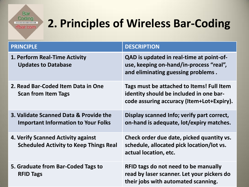**Bar** Coding **THE REPORT OF PROPERTY** rfbar.com

### **2. Principles of Wireless Bar-Coding**

| <b>PRINCIPLE</b>                                                                     | <b>DESCRIPTION</b>                                                                                                                |
|--------------------------------------------------------------------------------------|-----------------------------------------------------------------------------------------------------------------------------------|
| 1. Perform Real-Time Activity<br><b>Updates to Database</b>                          | QAD is updated in real-time at point-of-<br>use, keeping on-hand/in-process "real",<br>and eliminating guessing problems.         |
| 2. Read Bar-Coded Item Data in One<br><b>Scan from Item Tags</b>                     | Tags must be attached to Items! Full Item<br>identity should be included in one bar-<br>code assuring accuracy (Item+Lot+Expiry). |
| 3. Validate Scanned Data & Provide the<br><b>Important Information to Your Folks</b> | Display scanned Info; verify part correct,<br>on-hand is adequate, lot/expiry matches.                                            |
| 4. Verify Scanned Activity against<br><b>Scheduled Activity to Keep Things Real</b>  | Check order due date, picked quantity vs.<br>schedule, allocated pick location/lot vs.<br>actual location, etc.                   |
| 5. Graduate from Bar-Coded Tags to<br><b>RFID Tags</b>                               | RFID tags do not need to be manually<br>read by laser scanner. Let your pickers do<br>their jobs with automated scanning.         |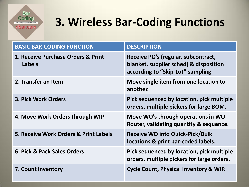**Bar** Coding **THEFFERENTIA** rfbar.com

### **3. Wireless Bar-Coding Functions**

| <b>BASIC BAR-CODING FUNCTION</b>                    | <b>DESCRIPTION</b>                                                                                                 |
|-----------------------------------------------------|--------------------------------------------------------------------------------------------------------------------|
| 1. Receive Purchase Orders & Print<br><b>Labels</b> | Receive PO's (regular, subcontract,<br>blanket, supplier sched) & disposition<br>according to "Skip-Lot" sampling. |
| 2. Transfer an Item                                 | Move single item from one location to<br>another.                                                                  |
| <b>3. Pick Work Orders</b>                          | Pick sequenced by location, pick multiple<br>orders, multiple pickers for large BOM.                               |
| 4. Move Work Orders through WIP                     | Move WO's through operations in WO<br>Router, validating quantity & sequence.                                      |
| 5. Receive Work Orders & Print Labels               | <b>Receive WO into Quick-Pick/Bulk</b><br>locations & print bar-coded labels.                                      |
| 6. Pick & Pack Sales Orders                         | Pick sequenced by location, pick multiple<br>orders, multiple pickers for large orders.                            |
| <b>7. Count Inventory</b>                           | <b>Cycle Count, Physical Inventory &amp; WIP.</b>                                                                  |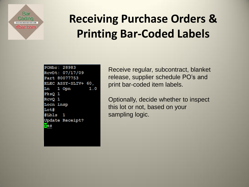

## **Receiving Purchase Orders & Printing Bar-Coded Labels**

| PONbr: 28983               |  |
|----------------------------|--|
| RcvDt: 07/17/09            |  |
| Part 80077753              |  |
| <b>ELEC ASSY-SLIV+ 60,</b> |  |
| Ln 1 Opn<br>1.0            |  |
| PksQ 1                     |  |
| RcvQ 1                     |  |
| Locn insp                  |  |
| Lot#                       |  |
| #Lbls 1                    |  |
| Update Receipt?            |  |
| Yes                        |  |
|                            |  |

Receive regular, subcontract, blanket release, supplier schedule PO's and print bar-coded item labels.

Optionally, decide whether to inspect this lot or not, based on your sampling logic.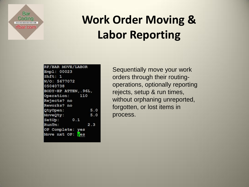#### **Bar** Coding ............... rfbar.com

## **Work Order Moving & Labor Reporting**

| RF/BAR MOVE/LABOR     |     |
|-----------------------|-----|
| Empl: 00023           |     |
| Shft: 1               |     |
| W/O: 5677072          |     |
| 05040738              |     |
| BODY-HP ATTEN, . 96L, |     |
| Operation: 110        |     |
| Rejects? no           |     |
| Reworks? no           |     |
| QtyOpen:              | 5.0 |
| MoveQty:              | 5.0 |
| 0.1<br>SetUp:         |     |
| RunTm:                | 2.3 |
| OP Complete: yes      |     |
| Move nxt OP: yes      |     |
|                       |     |

Sequentially move your work orders through their routingoperations, optionally reporting rejects, setup & run times, without orphaning unreported, forgotten, or lost items in process.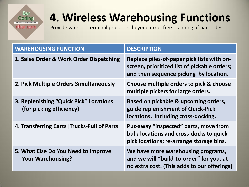#### **Bar** Coding **THE REPORT OF A STATE** rfbar.com

### **4. Wireless Warehousing Functions**

Provide wireless-terminal processes beyond error-free scanning of bar-codes.

| <b>WAREHOUSING FUNCTION</b>                                        | <b>DESCRIPTION</b>                                                                                                                   |
|--------------------------------------------------------------------|--------------------------------------------------------------------------------------------------------------------------------------|
| 1. Sales Order & Work Order Dispatching                            | Replace piles-of-paper pick lists with on-<br>screen, prioritized list of pickable orders;<br>and then sequence picking by location. |
| 2. Pick Multiple Orders Simultaneously                             | Choose multiple orders to pick & choose<br>multiple pickers for large orders.                                                        |
| 3. Replenishing "Quick Pick" Locations<br>(for picking efficiency) | Based on pickable & upcoming orders,<br>guide replenishment of Quick-Pick<br>locations, including cross-docking.                     |
| 4. Transferring Carts   Trucks-Full of Parts                       | Put-away "inspected" parts, move from<br>bulk-locations and cross-docks to quick-<br>pick locations; re-arrange storage bins.        |
| 5. What Else Do You Need to Improve<br><b>Your Warehousing?</b>    | We have more warehousing programs,<br>and we will "build-to-order" for you, at<br>no extra cost. (This adds to our offerings)        |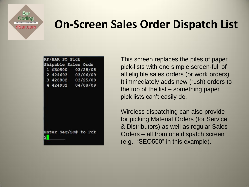**Bar** Coding ribar.com

### **On-Screen Sales Order Dispatch List**

|          | RF/BAR SO Pick |                     |  |
|----------|----------------|---------------------|--|
|          |                | Shipable Sales Ords |  |
| 1 SE0500 |                | 03/28/08            |  |
|          |                | 2 424693 03/06/09   |  |
|          |                | 3 426802 03/25/09   |  |
|          | 4 424932       | 04/08/09            |  |
|          |                |                     |  |
|          |                |                     |  |
|          |                |                     |  |
|          |                |                     |  |
|          |                |                     |  |
|          |                |                     |  |
|          |                |                     |  |

Enter Seq/SO# to Pck

This screen replaces the piles of paper pick-lists with one simple screen-full of all eligible sales orders (or work orders). It immediately adds new (rush) orders to the top of the list – something paper pick lists can't easily do.

Wireless dispatching can also provide for picking Material Orders (for Service & Distributors) as well as regular Sales Orders – all from one dispatch screen (e.g., "SEO500" in this example).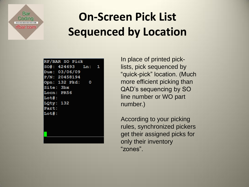**Bar** Coding ............... ribar.com

### **On-Screen Pick List Sequenced by Location**

| RF/BAR SO Pick    |  |
|-------------------|--|
| SO#: 424693 Ln: 1 |  |
| Due: 03/06/09     |  |
| P/N: 20458194     |  |
| Opn: 132 Pkd: 0   |  |
| <b>Site: 3bx</b>  |  |
| Locn: PR56        |  |
| Lot#:             |  |
| LQty: 132         |  |
| Part:             |  |
| Lot#:             |  |
|                   |  |
|                   |  |
|                   |  |
|                   |  |
|                   |  |

In place of printed picklists, pick sequenced by "quick-pick" location. (Much more efficient picking than QAD's sequencing by SO line number or WO part number.)

According to your picking rules, synchronized pickers get their assigned picks for only their inventory "zones".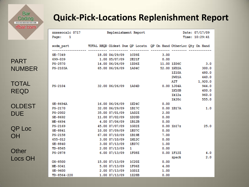**Bar** Coding **TELEVISION** rfbar.com

### **Quick-Pick-Locations Replenishment Report**

|                | XXSSSocalc 0717<br>$\blacksquare$<br>Page: |                                                                 | Replenishment Report |                        |             |                       | Date: 07/17/09<br>Time: 10:29:41 |
|----------------|--------------------------------------------|-----------------------------------------------------------------|----------------------|------------------------|-------------|-----------------------|----------------------------------|
|                | sodm part                                  | TOTAL REOD Oldest Due OP Locatn OP On Hand OtherLoc Oty On Hand |                      |                        |             |                       |                                  |
|                | SE-7349                                    |                                                                 | 18.00 04/29/09       | <b>1C09Z</b>           | 3.00        |                       |                                  |
| <b>PART</b>    | 699-039                                    |                                                                 | 1.00 05/07/09        | 2E21F                  | 0.00        |                       |                                  |
|                | PS-2570                                    |                                                                 | 14.00 06/26/09       | 1Z06Z                  | 11.00 1Z06C |                       | 3.0                              |
| <b>NUMBER</b>  | PS-2103A                                   |                                                                 | 65.00 06/26/09 1A04C |                        |             | 52.00 1K02A           | 300.0                            |
|                |                                            |                                                                 |                      |                        |             | 1Z10A                 | 480.0                            |
|                |                                            |                                                                 |                      |                        |             | 2W01A                 | 440.0                            |
| <b>TOTAL</b>   |                                            |                                                                 |                      |                        |             | <b>AIT</b>            | 1,920.0                          |
|                | PS-2104                                    |                                                                 | 32.00 06/26/09       | 1A04D                  |             | 0.00 1J04A            | 944.0                            |
| <b>REQD</b>    |                                            |                                                                 |                      |                        |             | 1K10B                 | 400.0                            |
|                |                                            |                                                                 |                      |                        |             | 1k12a                 | 960.0                            |
|                |                                            |                                                                 |                      |                        |             | 1k20c                 | 555.0                            |
| <b>OLDEST</b>  | SE-8694A                                   |                                                                 | 16.00 06/26/09       | 1K24C                  | 0.00        |                       |                                  |
|                | PS-2170                                    |                                                                 | 32.00 06/29/09       | 1B17C                  |             | 0.00 1B17A            | 1.0                              |
| <b>DUE</b>     | PS-2002                                    |                                                                 | 35.00 07/01/09       | 1A02Z                  | 2.00        |                       |                                  |
|                | SE-8692                                    |                                                                 | 11.00 07/02/09       | 1D20D                  | 0.00        |                       |                                  |
|                | ME-6694                                    |                                                                 | 4.00 07/06/09        | 1B12B                  | 0.00        |                       |                                  |
|                | PS-2169                                    |                                                                 | 45.00 07/07/09       | 1G02Z                  |             | 0.001 <sub>b17z</sub> | 25.0                             |
| QP Loc         | SE-8841                                    |                                                                 | 10.00 07/09/09       | 1E07C                  | 0.00        |                       |                                  |
| <b>OH</b>      | PS-2158                                    |                                                                 | 67.00 07/10/09       | 1B19E                  | 7.00        |                       |                                  |
|                | 655-012                                    |                                                                 | 3.00 07/10/09        | 1M12C                  | 0.00        |                       |                                  |
|                | SE-8840                                    |                                                                 | 3.00 07/13/09        | 1E07C                  | 1.00        |                       |                                  |
|                | $TD-8565$                                  |                                                                 | 2.00 07/13/09        | $1 \quad \blacksquare$ | 0.00        |                       |                                  |
| Other          | PS-2878                                    |                                                                 | $6.00$ $07/13/09$    | 1F08Z                  |             | 0.00 1F12Z            | 4.0                              |
| <b>Locs OH</b> |                                            |                                                                 |                      |                        |             | zpack                 | 2.0                              |
|                | OS-8500                                    |                                                                 | 15.00 07/13/09       | 1C20Z                  | 0.00        |                       |                                  |
|                | ME-9341                                    |                                                                 | 5.00 07/13/09        | 1F06Z                  | 4.00        |                       |                                  |
|                | SE-9600                                    |                                                                 | 2.00 07/13/09        | 1G01Z                  | 1.00        |                       |                                  |
|                | TD-8564-220                                |                                                                 | 1.00 07/13/09        | 1Z28B                  | 0.00        |                       |                                  |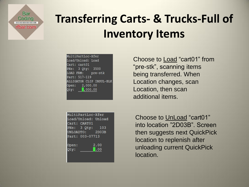**Bar** Codina **BEFORE HER HER FOREST** rtbar.com

## **Transferring Carts- & Trucks-Full of Inventory Items**

| MultiPartLoc-Xfer        |
|--------------------------|
| Load/Unload: Load        |
| Cart: cart01             |
| PNs: 3 Qty: 3500         |
| LOAD FRM: pre-stk        |
| Part: 517-119            |
| ALLIGATOR CLIP INSUL-BLK |
| Open: 2,000.00           |
| Qty: $2,000.00$          |
|                          |

| MultiPartLoc-Xfer   |
|---------------------|
| Load/Unload: Unload |
| Cart: CART01        |
| PNs: 3 Qty: 103     |
| UNLOADTO: 2D03B     |
| Part: 003-07713     |
|                     |
| 2.00<br>Open:       |
| 0.00<br>Qty:        |
|                     |
|                     |

Choose to Load "cart01" from "pre-stk", scanning items being transferred. When Location changes, scan Location, then scan additional items.

Choose to UnLoad "cart01" into location "2D03B". Screen then suggests next QuickPick location to replenish after unloading current QuickPick location.